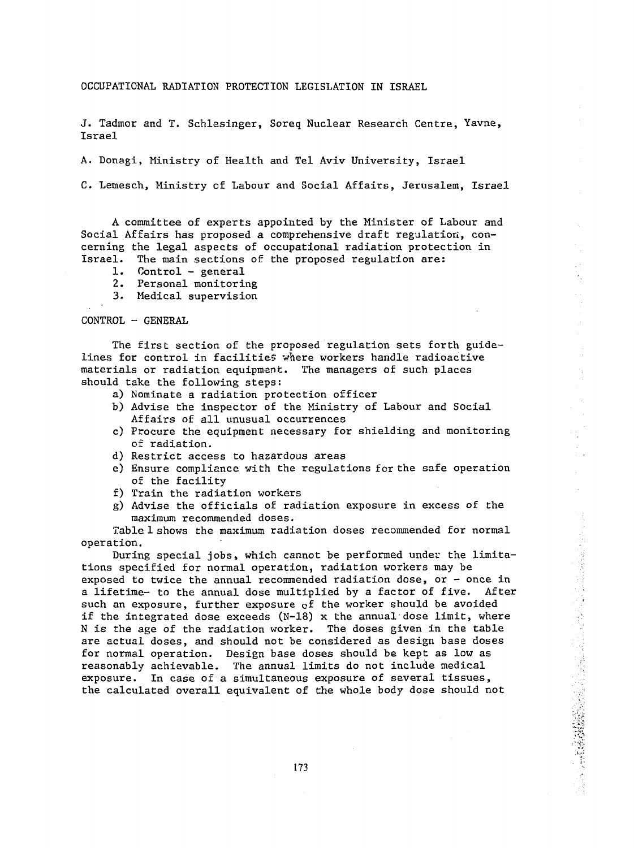OCCUPATIONAL RADIATION PROTECTION LEGISLATION IN ISRAEL

J. Tadmor and T. Schlesinger, Soreq Nuclear Research Centre, Yavne, Israel

A. Donagi, Ministry of Health and Tel Aviv University, Israel

C. Lemesch, Ministry of Labour and Social Affairs, Jerusalem, Israel

A committee of experts appointed by the Minister of Labour and Social Affairs has proposed a comprehensive draft regulation, concerning the legal aspects of occupational radiation protection in Israel. The main sections of the proposed regulation are:

- 1. Control general
- 2. Personal monitoring
- 3. Medical supervision

CONTROL - GENERAL

The first section of the proposed regulation sets forth guidelines for control in facilities where workers handle radioactive materials or radiation equipment. The managers of such places should take the following steps:

- a) Nominate a radiation protection officer
- b) Advise the inspector of the Ministry of Labour and Social Affairs of all unusual occurrences
- c) Procure the equipment necessary for shielding and monitoring of radiation.
- d) Restrict access to hazardous areas
- e) Ensure compliance with the regulations for the safe operation of the facility
- f) Train the radiation workers
- g) Advise the officials of radiation exposure in excess of the maximum recommended doses.

Table 1 shows the maximum radiation doses recommended for normal operation.

During special jobs, which cannot be performed under the limitations specified for normal operation, radiation workers may be exposed to twice the annual recommended radiation dose, or  $-$  once in a lifetime- to the annual dose multiplied by a factor of five. After such an exposure, further exposure of the worker should be avoided if the integrated dose exceeds  $(N-18)$  x the annual dose limit, where N is the age of the radiation worker. The doses given in the table are actual doses, and should not be considered as design base doses for normal operation. Design base doses should be kept as low as reasonably achievable. The annual limits do not include medical exposure. In case of a simultaneous exposure of several tissues, the calculated overall equivalent of the whole body dose should not

化水杨酸盐 化氧化物 计同步指令 医前缀性的 经通货费 医多种毒性色质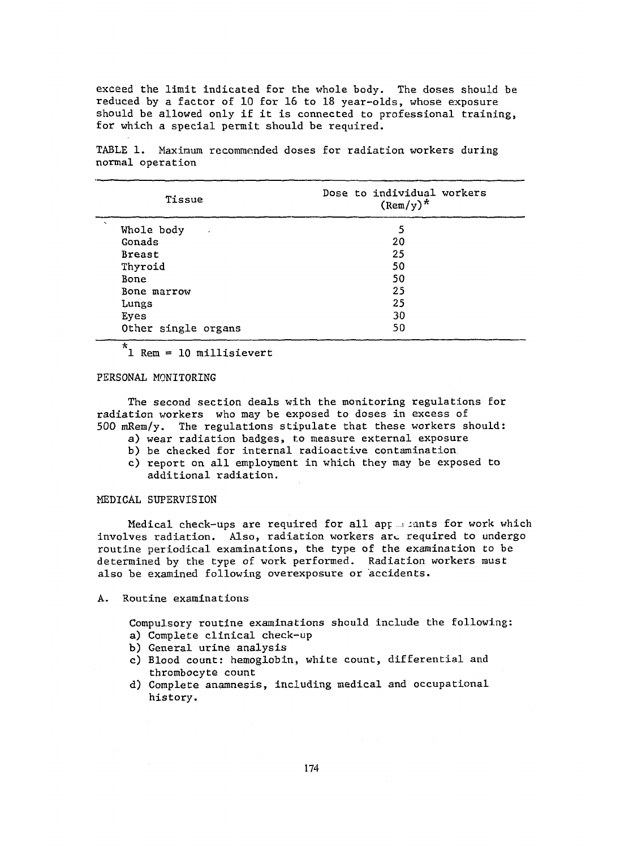exceed the limit indicated for the whole body. The doses should be reduced by a factor of 10 for 16 to 18 year-olds, whose exposure should be allowed only if it is connected to professional training, for which a special permit should be required.

TABLE 1. Maximum recommended doses for radiation workers during normal operation

| Tissue                             | Dose to individual workers<br>$(\text{Rem}/y)^*$ |
|------------------------------------|--------------------------------------------------|
| $\ddot{\phantom{1}}$<br>Whole body | 5                                                |
| Gonads                             | 20                                               |
| <b>Breast</b>                      | 25                                               |
| Thyroid                            | 50                                               |
| Bone                               | 50                                               |
| Bone marrow                        | 25                                               |
| Lungs                              | 25                                               |
| Eyes                               | 30                                               |
| Other single organs                | 50                                               |
| $\mathbf{A}$                       |                                                  |

# PERSONAL MONITORING

The second section deals with the monitoring regulations for radiation workers who may be exposed to doses in excess of 500 mRem/y. The regulations stipulate that these workers should:

- a) wear radiation badges, to measure external exposure
- b) be checked for internal radioactive contamination
- c) report on all employment in which they may be exposed to additional radiation.

## MEDICAL SUPERVISION

Medical check-ups are required for all app ... iants for work which involves radiation. Also, radiation workers arc required to undergo routine periodical examinations, the type of the examination to be determined by the type of work performed. Radiation workers must also be examined following overexposure or accidents.

A. Routine examinations

Compulsory routine examinations should include the following: a) Complete clinical check-up

- b) General urine analysis
- c) Blood count: hemoglobin, white count, differential and thrombocyte count
- d) Complete anamnesis, including medical and occupational history.